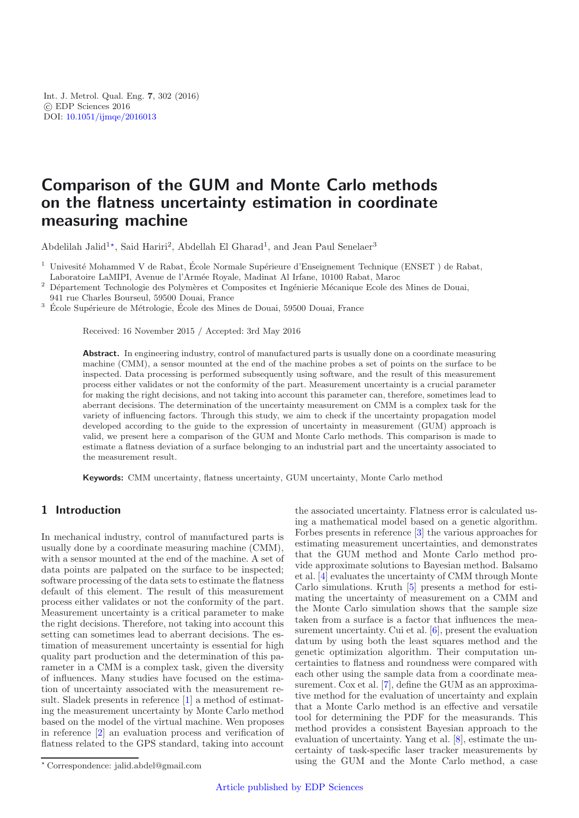Int. J. Metrol. Qual. Eng. **7**, 302 (2016) -c EDP Sciences 2016 DOI: [10.1051/ijmqe/2016013](http://dx.doi.org/10.1051/ijmqe/2016013)

# **Comparison of the GUM and Monte Carlo methods on the flatness uncertainty estimation in coordinate measuring machine**

Abdelilah Jalid<sup>1\*</sup>, Said Hariri<sup>2</sup>, Abdellah El Gharad<sup>1</sup>, and Jean Paul Senelaer<sup>3</sup>

<sup>1</sup> Univesité Mohammed V de Rabat, École Normale Supérieure d'Enseignement Technique (ENSET) de Rabat,

Laboratoire LaMIPI, Avenue de l'Arm´ee Royale, Madinat Al Irfane, 10100 Rabat, Maroc

<sup>2</sup> Département Technologie des Polymères et Composites et Ingénierie Mécanique Ecole des Mines de Douai, 941 rue Charles Bourseul, 59500 Douai, France

 $^3$  École Supérieure de Métrologie, École des Mines de Douai, 59500 Douai, France  $^3$ 

Received: 16 November 2015 / Accepted: 3rd May 2016

**Abstract.** In engineering industry, control of manufactured parts is usually done on a coordinate measuring machine (CMM), a sensor mounted at the end of the machine probes a set of points on the surface to be inspected. Data processing is performed subsequently using software, and the result of this measurement process either validates or not the conformity of the part. Measurement uncertainty is a crucial parameter for making the right decisions, and not taking into account this parameter can, therefore, sometimes lead to aberrant decisions. The determination of the uncertainty measurement on CMM is a complex task for the variety of influencing factors. Through this study, we aim to check if the uncertainty propagation model developed according to the guide to the expression of uncertainty in measurement (GUM) approach is valid, we present here a comparison of the GUM and Monte Carlo methods. This comparison is made to estimate a flatness deviation of a surface belonging to an industrial part and the uncertainty associated to the measurement result.

**Keywords:** CMM uncertainty, flatness uncertainty, GUM uncertainty, Monte Carlo method

# **1 Introduction**

In mechanical industry, control of manufactured parts is usually done by a coordinate measuring machine (CMM), with a sensor mounted at the end of the machine. A set of data points are palpated on the surface to be inspected; software processing of the data sets to estimate the flatness default of this element. The result of this measurement process either validates or not the conformity of the part. Measurement uncertainty is a critical parameter to make the right decisions. Therefore, not taking into account this setting can sometimes lead to aberrant decisions. The estimation of measurement uncertainty is essential for high quality part production and the determination of this parameter in a CMM is a complex task, given the diversity of influences. Many studies have focused on the estimation of uncertainty associated with the measurement re-sult. Sladek presents in reference [\[1](#page-6-0)] a method of estimating the measurement uncertainty by Monte Carlo method based on the model of the virtual machine. Wen proposes in reference [\[2](#page-6-1)] an evaluation process and verification of flatness related to the GPS standard, taking into account

the associated uncertainty. Flatness error is calculated using a mathematical model based on a genetic algorithm. Forbes presents in reference [\[3\]](#page-6-2) the various approaches for estimating measurement uncertainties, and demonstrates that the GUM method and Monte Carlo method provide approximate solutions to Bayesian method. Balsamo et al. [\[4\]](#page-6-3) evaluates the uncertainty of CMM through Monte Carlo simulations. Kruth [\[5\]](#page-6-4) presents a method for estimating the uncertainty of measurement on a CMM and the Monte Carlo simulation shows that the sample size taken from a surface is a factor that influences the measurement uncertainty. Cui et al. [\[6\]](#page-6-5), present the evaluation datum by using both the least squares method and the genetic optimization algorithm. Their computation uncertainties to flatness and roundness were compared with each other using the sample data from a coordinate mea-surement. Cox et al. [\[7\]](#page-6-6), define the GUM as an approximative method for the evaluation of uncertainty and explain that a Monte Carlo method is an effective and versatile tool for determining the PDF for the measurands. This method provides a consistent Bayesian approach to the evaluation of uncertainty. Yang et al. [\[8\]](#page-6-7), estimate the uncertainty of task-specific laser tracker measurements by using the GUM and the Monte Carlo method, a case

<sup>-</sup> Correspondence: jalid.abdel@gmail.com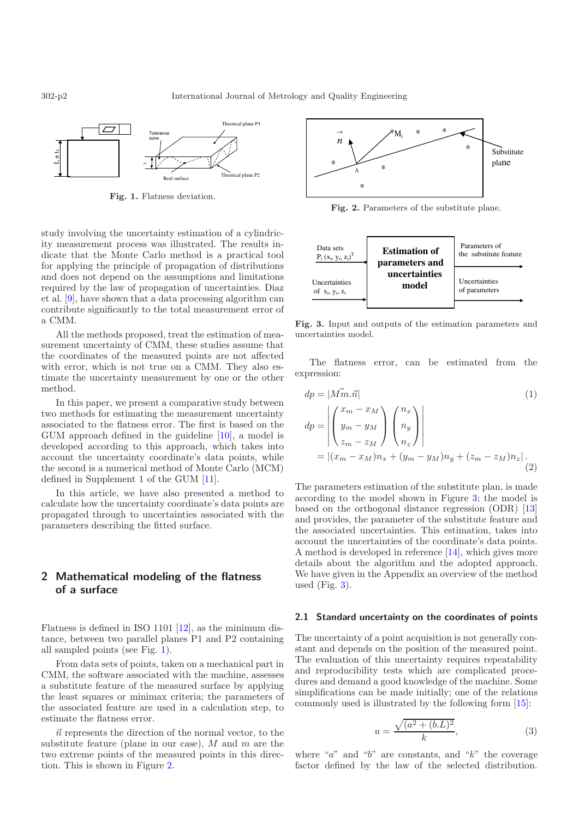

**Fig. 1.** Flatness deviation.

study involving the uncertainty estimation of a cylindricity measurement process was illustrated. The results indicate that the Monte Carlo method is a practical tool for applying the principle of propagation of distributions and does not depend on the assumptions and limitations required by the law of propagation of uncertainties. Diaz et al. [\[9](#page-6-8)], have shown that a data processing algorithm can contribute significantly to the total measurement error of a CMM.

All the methods proposed, treat the estimation of measurement uncertainty of CMM, these studies assume that the coordinates of the measured points are not affected with error, which is not true on a CMM. They also estimate the uncertainty measurement by one or the other method.

In this paper, we present a comparative study between two methods for estimating the measurement uncertainty associated to the flatness error. The first is based on the GUM approach defined in the guideline [\[10](#page-6-9)], a model is developed according to this approach, which takes into account the uncertainty coordinate's data points, while the second is a numerical method of Monte Carlo (MCM) defined in Supplement 1 of the GUM [\[11](#page-7-0)].

In this article, we have also presented a method to calculate how the uncertainty coordinate's data points are propagated through to uncertainties associated with the parameters describing the fitted surface.

# **2 Mathematical modeling of the flatness of a surface**

Flatness is defined in ISO 1101 [\[12\]](#page-7-1), as the minimum distance, between two parallel planes P1 and P2 containing all sampled points (see Fig. [1\)](#page-1-0).

From data sets of points, taken on a mechanical part in CMM, the software associated with the machine, assesses a substitute feature of the measured surface by applying the least squares or minimax criteria; the parameters of the associated feature are used in a calculation step, to estimate the flatness error.

 $\vec{n}$  represents the direction of the normal vector, to the substitute feature (plane in our case),  $M$  and  $m$  are the two extreme points of the measured points in this direction. This is shown in Figure [2.](#page-1-1)

<span id="page-1-1"></span>

**Fig. 2.** Parameters of the substitute plane.

<span id="page-1-2"></span>

**Fig. 3.** Input and outputs of the estimation parameters and uncertainties model.

The flatness error, can be estimated from the expression:

$$
dp = |Mm.\vec{n}| \tag{1}
$$
\n
$$
dp = \left| \begin{pmatrix} x_m - x_M \\ y_m - y_M \\ z_m - z_M \end{pmatrix} \begin{pmatrix} n_x \\ n_y \\ n_z \end{pmatrix} \right|
$$
\n
$$
= |(x_m - x_M)n_x + (y_m - y_M)n_y + (z_m - z_M)n_z| \tag{2}
$$

The parameters estimation of the substitute plan, is made according to the model shown in Figure [3;](#page-1-2) the model is based on the orthogonal distance regression (ODR) [\[13\]](#page-7-2) and provides, the parameter of the substitute feature and the associated uncertainties. This estimation, takes into account the uncertainties of the coordinate's data points. A method is developed in reference [\[14\]](#page-7-3), which gives more details about the algorithm and the adopted approach. We have given in the Appendix an overview of the method used (Fig.  $3$ ).

#### **2.1 Standard uncertainty on the coordinates of points**

The uncertainty of a point acquisition is not generally constant and depends on the position of the measured point. The evaluation of this uncertainty requires repeatability and reproducibility tests which are complicated procedures and demand a good knowledge of the machine. Some simplifications can be made initially; one of the relations commonly used is illustrated by the following form [\[15\]](#page-7-4):

$$
u = \frac{\sqrt{(a^2 + (b.L)^2)}}{k},
$$
\n(3)

where " $a$ " and " $b$ " are constants, and " $k$ " the coverage factor defined by the law of the selected distribution.

<span id="page-1-0"></span>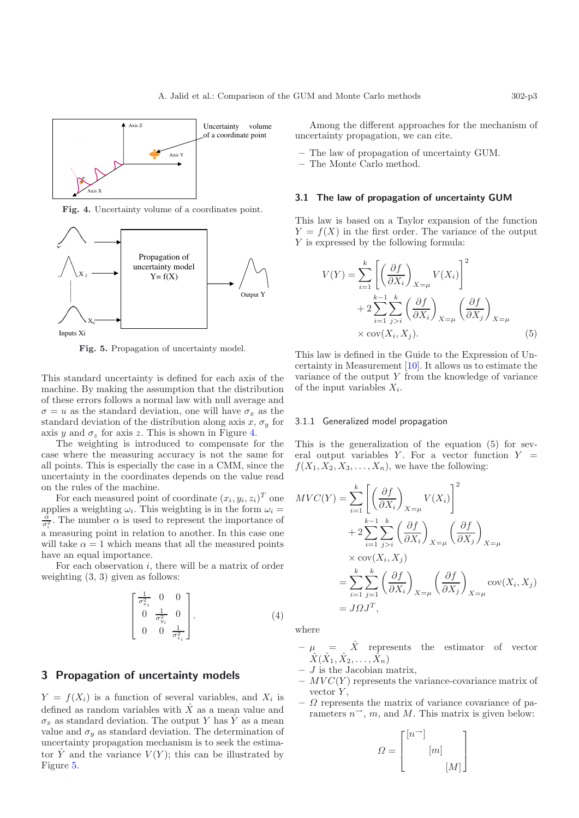<span id="page-2-0"></span>

Fig. 4. Uncertainty volume of a coordinates point.

<span id="page-2-1"></span>

**Fig. 5.** Propagation of uncertainty model.

This standard uncertainty is defined for each axis of the machine. By making the assumption that the distribution of these errors follows a normal law with null average and  $\sigma = u$  as the standard deviation, one will have  $\sigma_x$  as the standard deviation of the distribution along axis x,  $\sigma_y$  for axis y and  $\sigma_z$  for axis z. This is shown in Figure [4.](#page-2-0)

The weighting is introduced to compensate for the case where the measuring accuracy is not the same for all points. This is especially the case in a CMM, since the uncertainty in the coordinates depends on the value read on the rules of the machine.

For each measured point of coordinate  $(x_i, y_i, z_i)^T$  one applies a weighting  $\omega_i$ . This weighting is in the form  $\omega_i =$  $\frac{\alpha}{\sigma_i^2}$ . The number  $\alpha$  is used to represent the importance of a measuring point in relation to another. In this case one will take  $\alpha = 1$  which means that all the measured points have an equal importance.

For each observation  $i$ , there will be a matrix of order weighting (3, 3) given as follows:

$$
\begin{bmatrix} \frac{1}{\sigma_{x_i}^2} & 0 & 0\\ 0 & \frac{1}{\sigma_{y_i}^2} & 0\\ 0 & 0 & \frac{1}{\sigma_{z_i}^2} \end{bmatrix} . \tag{4}
$$

# **3 Propagation of uncertainty models**

 $Y = f(X_i)$  is a function of several variables, and  $X_i$  is defined as random variables with  $\hat{X}$  as a mean value and  $\sigma_x$  as standard deviation. The output Y has Y as a mean value and  $\sigma_y$  as standard deviation. The determination of uncertainty propagation mechanism is to seek the estimator Y and the variance  $V(Y)$ ; this can be illustrated by Figure [5.](#page-2-1)

Among the different approaches for the mechanism of uncertainty propagation, we can cite.

- **–** The law of propagation of uncertainty GUM.
- **–** The Monte Carlo method.

#### **3.1 The law of propagation of uncertainty GUM**

This law is based on a Taylor expansion of the function  $Y = f(X)$  in the first order. The variance of the output Y is expressed by the following formula:

$$
V(Y) = \sum_{i=1}^{k} \left[ \left( \frac{\partial f}{\partial X_i} \right)_{X=\mu} V(X_i) \right]^2
$$
  
+2\sum\_{i=1}^{k-1} \sum\_{j>i}^{k} \left( \frac{\partial f}{\partial X\_i} \right)\_{X=\mu} \left( \frac{\partial f}{\partial X\_j} \right)\_{X=\mu}   
\times \text{cov}(X\_i, X\_j). (5)

This law is defined in the Guide to the Expression of Uncertainty in Measurement [\[10\]](#page-6-9). It allows us to estimate the variance of the output  $Y$  from the knowledge of variance of the input variables  $X_i$ .

#### 3.1.1 Generalized model propagation

This is the generalization of the equation (5) for several output variables Y. For a vector function  $Y =$  $f(X_1, X_2, X_3, \ldots, X_n)$ , we have the following:

$$
MVC(Y) = \sum_{i=1}^{k} \left[ \left( \frac{\partial f}{\partial X_i} \right)_{X=\mu} V(X_i) \right]^2
$$
  
+ 
$$
2 \sum_{i=1}^{k-1} \sum_{j>i}^{k} \left( \frac{\partial f}{\partial X_i} \right)_{X=\mu} \left( \frac{\partial f}{\partial X_j} \right)_{X=\mu}
$$
  
× 
$$
cov(X_i, X_j)
$$
  
= 
$$
\sum_{i=1}^{k} \sum_{j=1}^{k} \left( \frac{\partial f}{\partial X_i} \right)_{X=\mu} \left( \frac{\partial f}{\partial X_j} \right)_{X=\mu} cov(X_i, X_j)
$$
  
= 
$$
J\Omega J^T,
$$

where

- $-\mu$  =  $\hat{X}$  represents the estimator of vector  $\hat{X}(\hat{X}_1, \hat{X}_2, \ldots, \hat{X}_n)$
- **–** J is the Jacobian matrix,
- **–** MVC(Y ) represents the variance-covariance matrix of vector  $Y$ ,
- **–** Ω represents the matrix of variance covariance of parameters  $n^{\rightarrow}$ , m, and M. This matrix is given below:

$$
\varOmega = \left[ \begin{matrix} [n^\rightarrow] \\ & [m] \\ & & [M] \end{matrix} \right]
$$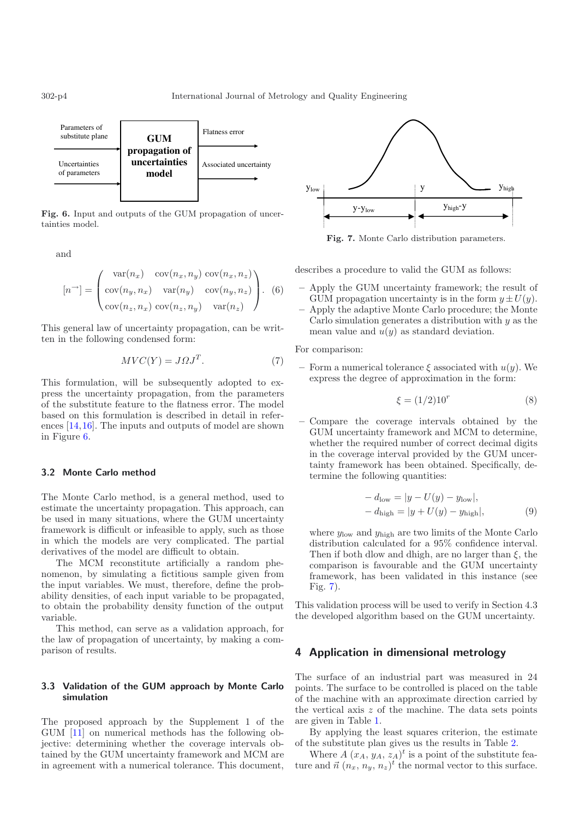

**Fig. 6.** Input and outputs of the GUM propagation of uncertainties model.

and

$$
[n^{-}] = \begin{pmatrix} \text{var}(n_x) & \text{cov}(n_x, n_y) & \text{cov}(n_x, n_z) \\ \text{cov}(n_y, n_x) & \text{var}(n_y) & \text{cov}(n_y, n_z) \\ \text{cov}(n_z, n_x) & \text{cov}(n_z, n_y) & \text{var}(n_z) \end{pmatrix}.
$$
 (6)

This general law of uncertainty propagation, can be written in the following condensed form:

$$
MVC(Y) = J\Omega J^T.
$$
 (7)

This formulation, will be subsequently adopted to express the uncertainty propagation, from the parameters of the substitute feature to the flatness error. The model based on this formulation is described in detail in references [\[14](#page-7-3),[16\]](#page-7-5). The inputs and outputs of model are shown in Figure [6.](#page-3-0)

#### **3.2 Monte Carlo method**

The Monte Carlo method, is a general method, used to estimate the uncertainty propagation. This approach, can be used in many situations, where the GUM uncertainty framework is difficult or infeasible to apply, such as those in which the models are very complicated. The partial derivatives of the model are difficult to obtain.

The MCM reconstitute artificially a random phenomenon, by simulating a fictitious sample given from the input variables. We must, therefore, define the probability densities, of each input variable to be propagated, to obtain the probability density function of the output variable.

This method, can serve as a validation approach, for the law of propagation of uncertainty, by making a comparison of results.

#### **3.3 Validation of the GUM approach by Monte Carlo simulation**

The proposed approach by the Supplement 1 of the GUM [\[11\]](#page-7-0) on numerical methods has the following objective: determining whether the coverage intervals obtained by the GUM uncertainty framework and MCM are in agreement with a numerical tolerance. This document,

<span id="page-3-1"></span>

**Fig. 7.** Monte Carlo distribution parameters.

describes a procedure to valid the GUM as follows:

- **–** Apply the GUM uncertainty framework; the result of GUM propagation uncertainty is in the form  $y \pm U(y)$ .
- **–** Apply the adaptive Monte Carlo procedure; the Monte Carlo simulation generates a distribution with  $y$  as the mean value and  $u(y)$  as standard deviation.

For comparison:

**–** Form a numerical tolerance ξ associated with u(y). We express the degree of approximation in the form:

$$
\xi = (1/2)10^r \tag{8}
$$

**–** Compare the coverage intervals obtained by the GUM uncertainty framework and MCM to determine, whether the required number of correct decimal digits in the coverage interval provided by the GUM uncertainty framework has been obtained. Specifically, determine the following quantities:

$$
- d_{\text{low}} = |y - U(y) - y_{\text{low}}|,- d_{\text{high}} = |y + U(y) - y_{\text{high}}|,
$$
 (9)

where  $y_{\text{low}}$  and  $y_{\text{high}}$  are two limits of the Monte Carlo distribution calculated for a 95% confidence interval. Then if both dlow and dhigh, are no larger than  $\xi$ , the comparison is favourable and the GUM uncertainty framework, has been validated in this instance (see Fig. [7\)](#page-3-1).

This validation process will be used to verify in Section 4.3 the developed algorithm based on the GUM uncertainty.

# **4 Application in dimensional metrology**

The surface of an industrial part was measured in 24 points. The surface to be controlled is placed on the table of the machine with an approximate direction carried by the vertical axis  $z$  of the machine. The data sets points are given in Table [1.](#page-4-0)

By applying the least squares criterion, the estimate of the substitute plan gives us the results in Table [2.](#page-4-1)

Where  $A(x_A, y_A, z_A)^t$  is a point of the substitute feature and  $\vec{n}$   $(n_x, n_y, n_z)^t$  the normal vector to this surface.

<span id="page-3-0"></span>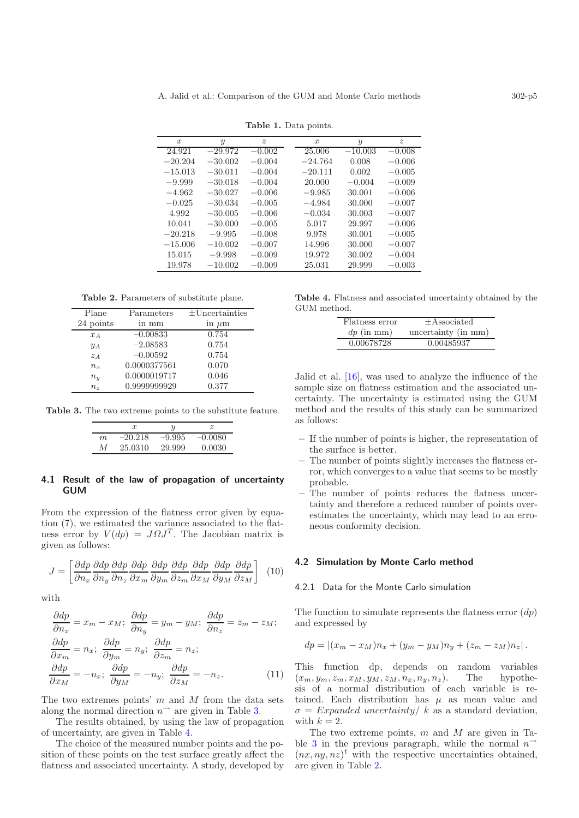<span id="page-4-1"></span>

| $\boldsymbol{x}$ | $\mathcal{Y}$ | $\widetilde{\mathcal{Z}}$ | $\boldsymbol{x}$ | $\boldsymbol{y}$ | $\boldsymbol{z}$ |
|------------------|---------------|---------------------------|------------------|------------------|------------------|
| 24.921           | $-29.972$     | $-0.002$                  | 25.006           | $-10.003$        | $-0.008$         |
| $-20.204$        | $-30.002$     | $-0.004$                  | $-24.764$        | 0.008            | $-0.006$         |
| $-15.013$        | $-30.011$     | $-0.004$                  | $-20.111$        | 0.002            | $-0.005$         |
| $-9.999$         | $-30.018$     | $-0.004$                  | 20.000           | $-0.004$         | $-0.009$         |
| $-4.962$         | $-30.027$     | $-0.006$                  | $-9.985$         | 30.001           | $-0.006$         |
| $-0.025$         | $-30.034$     | $-0.005$                  | $-4.984$         | 30.000           | $-0.007$         |
| 4.992            | $-30.005$     | $-0.006$                  | $-0.034$         | 30.003           | $-0.007$         |
| 10.041           | $-30.000$     | $-0.005$                  | 5.017            | 29.997           | $-0.006$         |
| $-20.218$        | $-9.995$      | $-0.008$                  | 9.978            | 30.001           | $-0.005$         |
| $-15.006$        | $-10.002$     | $-0.007$                  | 14.996           | 30.000           | $-0.007$         |
| 15.015           | $-9.998$      | $-0.009$                  | 19.972           | 30.002           | $-0.004$         |
| 19.978           | $-10.002$     | $-0.009$                  | 25.031           | 29.999           | $-0.003$         |

<span id="page-4-3"></span><span id="page-4-0"></span>**Table 1.** Data points.

**Table 2.** Parameters of substitute plane.

<span id="page-4-2"></span>

| Plane           | Parameters   | $\pm$ Uncertainties |
|-----------------|--------------|---------------------|
| 24 points       | in mm        | in $\mu$ m          |
| $x_A$           | $-0.00833$   | 0.754               |
| $y_A$           | $-2.08583$   | 0.754               |
| ZA              | $-0.00592$   | 0.754               |
| $n_r$           | 0.0000377561 | 0.070               |
| $n_{\rm u}$     | 0.0000019717 | 0.046               |
| $n_{\tilde{z}}$ | 0.9999999929 | 0.377               |

**Table 3.** The two extreme points to the substitute feature.

|   | x         | и        |           |
|---|-----------|----------|-----------|
| m | $-20.218$ | $-9.995$ | $-0.0080$ |
| M | 25.0310   | 29.999   | $-0.0030$ |

#### **4.1 Result of the law of propagation of uncertainty GUM**

From the expression of the flatness error given by equation (7), we estimated the variance associated to the flatness error by  $V(dp) = J\Omega J^T$ . The Jacobian matrix is given as follows:

$$
J = \left[ \frac{\partial dp}{\partial n_x} \frac{\partial dp}{\partial n_y} \frac{\partial dp}{\partial n_z} \frac{\partial dp}{\partial x_m} \frac{\partial dp}{\partial y_m} \frac{\partial dp}{\partial z_m} \frac{\partial dp}{\partial x_M} \frac{\partial dp}{\partial y_M} \frac{\partial dp}{\partial z_M} \right] (10)
$$

with

$$
\frac{\partial dp}{\partial n_x} = x_m - x_M; \quad \frac{\partial dp}{\partial n_y} = y_m - y_M; \quad \frac{\partial dp}{\partial n_z} = z_m - z_M; \n\frac{\partial dp}{\partial x_m} = n_x; \quad \frac{\partial dp}{\partial y_m} = n_y; \quad \frac{\partial dp}{\partial z_m} = n_z; \n\frac{\partial dp}{\partial x_M} = -n_x; \quad \frac{\partial dp}{\partial y_M} = -n_y; \quad \frac{\partial dp}{\partial z_M} = -n_z.
$$
\n(11)

The two extremes points'  $m$  and  $M$  from the data sets along the normal direction  $n^{\rightarrow}$  are given in Table [3.](#page-4-2)

The results obtained, by using the law of propagation of uncertainty, are given in Table [4.](#page-4-3)

The choice of the measured number points and the position of these points on the test surface greatly affect the flatness and associated uncertainty. A study, developed by

**Table 4.** Flatness and associated uncertainty obtained by the GUM method.

| Flatness error | $\pm$ Associated    |
|----------------|---------------------|
| $dp$ (in mm)   | uncertainty (in mm) |
| 0.00678728     | 0.00485937          |

Jalid et al. [\[16](#page-7-5)], was used to analyze the influence of the sample size on flatness estimation and the associated uncertainty. The uncertainty is estimated using the GUM method and the results of this study can be summarized as follows:

- **–** If the number of points is higher, the representation of the surface is better.
- **–** The number of points slightly increases the flatness error, which converges to a value that seems to be mostly probable.
- **–** The number of points reduces the flatness uncertainty and therefore a reduced number of points overestimates the uncertainty, which may lead to an erroneous conformity decision.

#### **4.2 Simulation by Monte Carlo method**

#### 4.2.1 Data for the Monte Carlo simulation

The function to simulate represents the flatness error  $(dp)$ and expressed by

$$
dp = |(x_m - x_M)n_x + (y_m - y_M)n_y + (z_m - z_M)n_z|.
$$

This function dp, depends on random variables  $(x_m, y_m, z_m, x_M, y_M, z_M, n_x, n_y, n_z)$ . The hypothesis of a normal distribution of each variable is retained. Each distribution has  $\mu$  as mean value and  $\sigma = Expanded uncertainty/k$  as a standard deviation, with  $k = 2$ .

The two extreme points,  $m$  and  $M$  are given in Ta-ble [3](#page-4-2) in the previous paragraph, while the normal  $n\rightarrow$  $(nx, ny, nz)^t$  with the respective uncertainties obtained, are given in Table [2.](#page-4-1)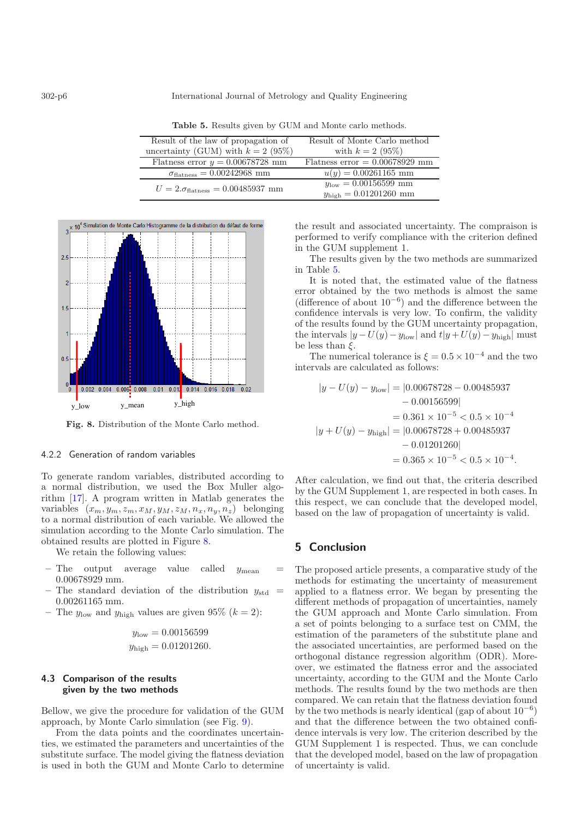#### 302-p6 International Journal of Metrology and Quality Engineering

<span id="page-5-1"></span>**Table 5.** Results given by GUM and Monte carlo methods.

| Result of the law of propagation of                      | Result of Monte Carlo method      |
|----------------------------------------------------------|-----------------------------------|
| uncertainty (GUM) with $k = 2$ (95%)                     | with $k = 2$ (95%)                |
| Flatness error $y = 0.00678728$ mm                       | Flatness error $= 0.00678929$ mm  |
| $\sigma_{\text{flatness}} = 0.00242968$ mm               | $u(y) = 0.00261165$ mm            |
| $U = 2.\sigma_{\text{flatness}} = 0.00485937 \text{ mm}$ | $y_{\text{low}} = 0.00156599$ mm  |
|                                                          | $y_{\text{high}} = 0.01201260$ mm |
|                                                          |                                   |

<span id="page-5-0"></span>

**Fig. 8.** Distribution of the Monte Carlo method.

#### 4.2.2 Generation of random variables

To generate random variables, distributed according to a normal distribution, we used the Box Muller algorithm [\[17](#page-7-6)]. A program written in Matlab generates the variables  $(x_m, y_m, z_m, x_M, y_M, z_M, n_x, n_y, n_z)$  belonging to a normal distribution of each variable. We allowed the simulation according to the Monte Carlo simulation. The obtained results are plotted in Figure [8.](#page-5-0)

We retain the following values:

- $-$  The output average value called  $y_{\text{mean}}$ 0.00678929 mm.
- The standard deviation of the distribution  $y_{\text{std}}$ 0.00261165 mm.
- $-$  The  $y_{\text{low}}$  and  $y_{\text{high}}$  values are given 95% ( $k = 2$ ):

 $y_{\text{low}} = 0.00156599$  $y_{\text{high}} = 0.01201260.$ 

### **4.3 Comparison of the results given by the two methods**

Bellow, we give the procedure for validation of the GUM approach, by Monte Carlo simulation (see Fig. [9\)](#page-6-10).

From the data points and the coordinates uncertainties, we estimated the parameters and uncertainties of the substitute surface. The model giving the flatness deviation is used in both the GUM and Monte Carlo to determine

the result and associated uncertainty. The compraison is performed to verify compliance with the criterion defined in the GUM supplement 1.

The results given by the two methods are summarized in Table [5.](#page-5-1)

It is noted that, the estimated value of the flatness error obtained by the two methods is almost the same (difference of about  $10^{-6}$ ) and the difference between the confidence intervals is very low. To confirm, the validity of the results found by the GUM uncertainty propagation, the intervals  $|y-U(y)-y_{\text{low}}|$  and  $t|y+U(y)-y_{\text{high}}|$  must be less than  $\xi$ .

The numerical tolerance is  $\xi = 0.5 \times 10^{-4}$  and the two intervals are calculated as follows:

$$
|y - U(y) - y_{\text{low}}| = |0.00678728 - 0.00485937 - 0.00156599|
$$
  
= 0.361 × 10<sup>-5</sup> < 0.5 × 10<sup>-4</sup>  

$$
|y + U(y) - y_{\text{high}}| = |0.00678728 + 0.00485937 - 0.01201260|
$$
  
= 0.365 × 10<sup>-5</sup> < 0.5 × 10<sup>-4</sup>.

After calculation, we find out that, the criteria described by the GUM Supplement 1, are respected in both cases. In this respect, we can conclude that the developed model, based on the law of propagation of uncertainty is valid.

## **5 Conclusion**

The proposed article presents, a comparative study of the methods for estimating the uncertainty of measurement applied to a flatness error. We began by presenting the different methods of propagation of uncertainties, namely the GUM approach and Monte Carlo simulation. From a set of points belonging to a surface test on CMM, the estimation of the parameters of the substitute plane and the associated uncertainties, are performed based on the orthogonal distance regression algorithm (ODR). Moreover, we estimated the flatness error and the associated uncertainty, according to the GUM and the Monte Carlo methods. The results found by the two methods are then compared. We can retain that the flatness deviation found by the two methods is nearly identical (gap of about  $10^{-6}$ ) and that the difference between the two obtained confidence intervals is very low. The criterion described by the GUM Supplement 1 is respected. Thus, we can conclude that the developed model, based on the law of propagation of uncertainty is valid.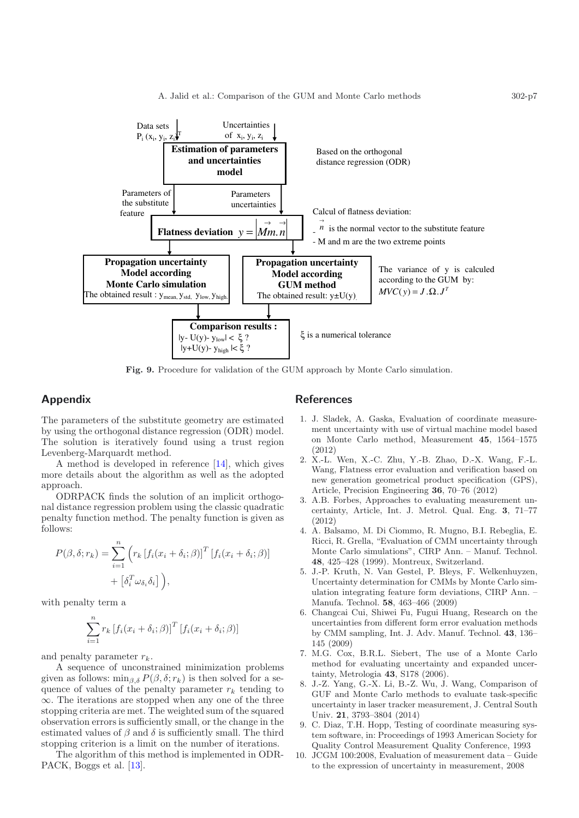A. Jalid et al.: Comparison of the GUM and Monte Carlo methods 302-p7

<span id="page-6-10"></span>

**Fig. 9.** Procedure for validation of the GUM approach by Monte Carlo simulation.

# **Appendix**

The parameters of the substitute geometry are estimated by using the orthogonal distance regression (ODR) model. The solution is iteratively found using a trust region Levenberg-Marquardt method.

A method is developed in reference [\[14\]](#page-7-3), which gives more details about the algorithm as well as the adopted approach.

ODRPACK finds the solution of an implicit orthogonal distance regression problem using the classic quadratic penalty function method. The penalty function is given as follows:

$$
P(\beta, \delta; r_k) = \sum_{i=1}^{n} \left( r_k \left[ f_i(x_i + \delta_i; \beta) \right]^T \left[ f_i(x_i + \delta_i; \beta) \right] + \left[ \delta_i^T \omega_{\delta_i} \delta_i \right] \right),
$$

with penalty term a

$$
\sum_{i=1}^{n} r_k \left[ f_i(x_i + \delta_i; \beta) \right]^T \left[ f_i(x_i + \delta_i; \beta) \right]
$$

and penalty parameter  $r_k$ .

A sequence of unconstrained minimization problems given as follows:  $\min_{\beta, \delta} P(\beta, \delta; r_k)$  is then solved for a sequence of values of the penalty parameter  $r_k$  tending to  $\infty$ . The iterations are stopped when any one of the three stopping criteria are met. The weighted sum of the squared observation errors is sufficiently small, or the change in the estimated values of  $\beta$  and  $\delta$  is sufficiently small. The third stopping criterion is a limit on the number of iterations.

The algorithm of this method is implemented in ODR-PACK, Boggs et al. [\[13](#page-7-2)].

# <span id="page-6-0"></span>**References**

- 1. J. Sladek, A. Gaska, Evaluation of coordinate measurement uncertainty with use of virtual machine model based on Monte Carlo method, Measurement **45**, 1564–1575 (2012)
- <span id="page-6-1"></span>2. X.-L. Wen, X.-C. Zhu, Y.-B. Zhao, D.-X. Wang, F.-L. Wang, Flatness error evaluation and verification based on new generation geometrical product specification (GPS), Article, Precision Engineering **36**, 70–76 (2012)
- <span id="page-6-2"></span>3. A.B. Forbes, Approaches to evaluating measurement uncertainty, Article, Int. J. Metrol. Qual. Eng. **3**, 71–77 (2012)
- <span id="page-6-3"></span>4. A. Balsamo, M. Di Ciommo, R. Mugno, B.I. Rebeglia, E. Ricci, R. Grella, "Evaluation of CMM uncertainty through Monte Carlo simulations", CIRP Ann. – Manuf. Technol. **48**, 425–428 (1999). Montreux, Switzerland.
- <span id="page-6-4"></span>5. J.-P. Kruth, N. Van Gestel, P. Bleys, F. Welkenhuyzen, Uncertainty determination for CMMs by Monte Carlo simulation integrating feature form deviations, CIRP Ann. – Manufa. Technol. **58**, 463–466 (2009)
- <span id="page-6-5"></span>6. Changcai Cui, Shiwei Fu, Fugui Huang, Research on the uncertainties from different form error evaluation methods by CMM sampling, Int. J. Adv. Manuf. Technol. **43**, 136– 145 (2009)
- <span id="page-6-6"></span>7. M.G. Cox, B.R.L. Siebert, The use of a Monte Carlo method for evaluating uncertainty and expanded uncertainty, Metrologia **43**, S178 (2006).
- <span id="page-6-7"></span>8. J.-Z. Yang, G.-X. Li, B.-Z. Wu, J. Wang, Comparison of GUF and Monte Carlo methods to evaluate task-specific uncertainty in laser tracker measurement, J. Central South Univ. **21**, 3793–3804 (2014)
- <span id="page-6-8"></span>9. C. Diaz, T.H. Hopp, Testing of coordinate measuring system software, in: Proceedings of 1993 American Society for Quality Control Measurement Quality Conference, 1993
- <span id="page-6-9"></span>10. JCGM 100:2008, Evaluation of measurement data – Guide to the expression of uncertainty in measurement, 2008